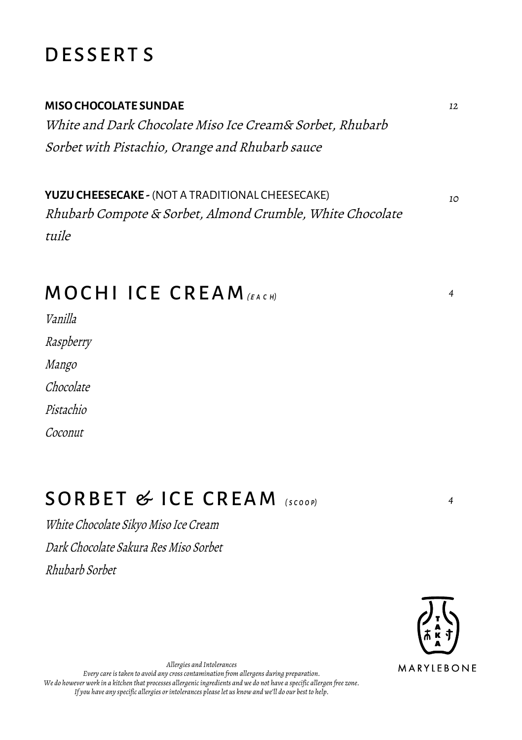### **DESSERTS**

#### **MISO CHOCOLATE SUNDAE**

White and Dark Chocolate Miso Ice Cream& Sorbet, Rhubarb Sorbet with Pistachio, Orange and Rhubarb sauce

**YUZU CHEESECAKE -** (NOT A TRADITIONAL CHEESECAKE) Rhubarb Compote & Sorbet, Almond Crumble, White Chocolate tuile

## MOCHI ICE CREAM

Vanilla Raspberry Mango Chocolate

Pistachio

Coconut

# SORBE T & ICE CREAM *<sup>4</sup> ( <sup>s</sup> <sup>c</sup> <sup>o</sup> <sup>o</sup> p)*

White Chocolate Sikyo Miso Ice Cream Dark Chocolate Sakura Res Miso Sorbet Rhubarb Sorbet



*Allergies and Intolerances*

*Every care is taken to avoid any cross contamination from allergens during preparation. We do however work in a kitchen that processes allergenicingredients and we do not have a specific allergen free zone. If you have any specific allergies or intolerances please let us know and we'll do our best to help.*

*10*

*4*

*12*